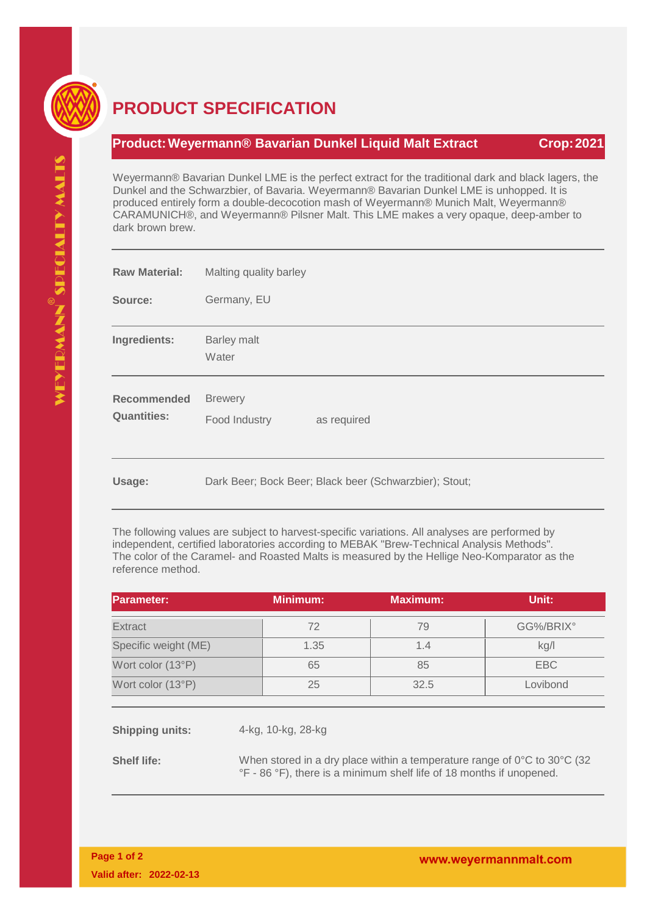

## **PRODUCT SPECIFICATION**

## **Product:Weyermann® Bavarian Dunkel Liquid Malt Extract Crop:2021**

Weyermann® Bavarian Dunkel LME is the perfect extract for the traditional dark and black lagers, the Dunkel and the Schwarzbier, of Bavaria. Weyermann® Bavarian Dunkel LME is unhopped. It is produced entirely form a double-decocotion mash of Weyermann® Munich Malt, Weyermann® CARAMUNICH®, and Weyermann® Pilsner Malt. This LME makes a very opaque, deep-amber to dark brown brew.

| <b>Raw Material:</b>                     | Malting quality barley                         |  |  |
|------------------------------------------|------------------------------------------------|--|--|
| Source:                                  | Germany, EU                                    |  |  |
| Ingredients:                             | <b>Barley malt</b><br>Water                    |  |  |
| <b>Recommended</b><br><b>Quantities:</b> | <b>Brewery</b><br>Food Industry<br>as required |  |  |

**Usage:** Dark Beer; Bock Beer; Black beer (Schwarzbier); Stout;

The following values are subject to harvest-specific variations. All analyses are performed by independent, certified laboratories according to MEBAK "Brew-Technical Analysis Methods". The color of the Caramel- and Roasted Malts is measured by the Hellige Neo-Komparator as the reference method.

| Parameter:           | <b>Minimum:</b> | <b>Maximum:</b> | Unit:     |
|----------------------|-----------------|-----------------|-----------|
| <b>Extract</b>       | 72              | 79              | GG%/BRIX° |
| Specific weight (ME) | 1.35            | 1.4             | kg/l      |
| Wort color (13°P)    | 65              | 85              | EBC       |
| Wort color (13°P)    | 25              | 32.5            | Lovibond  |

**Shipping units:** 4-kg, 10-kg, 28-kg

**Shelf life:** When stored in a dry place within a temperature range of 0°C to 30°C (32 °F - 86 °F), there is a minimum shelf life of 18 months if unopened.